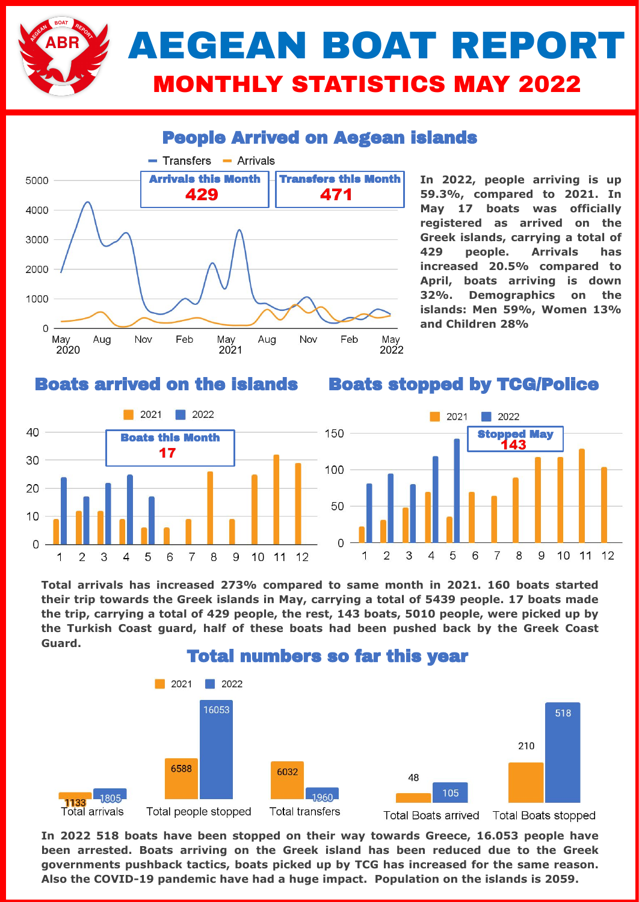

### People Arrived on Aegean islands



**In 2022, people arriving is up 59.3%, compared to 2021. In May 17 boats was officially registered as arrived on the Greek islands, carrying a total of 429 people. Arrivals has increased 20.5% compared to April, boats arriving is down 32%. Demographics on the islands: Men 59%, Women 13% and Children 28%**

#### Boats arrived on the islands

#### Boats stopped by TCG/Police



**Total arrivals has increased 273% compared to same month in 2021. 160 boats started their trip towards the Greek islands in May, carrying a total of 5439 people. 17 boats made the trip, carrying a total of 429 people, the rest, 143 boats, 5010 people, were picked up by the Turkish Coast guard, half of these boats had been pushed back by the Greek Coast Guard.** 



**In 2022 518 boats have been stopped on their way towards Greece, 16.053 people have been arrested. Boats arriving on the Greek island has been reduced due to the Greek governments pushback tactics, boats picked up by TCG has increased for the same reason. Also the COVID-19 pandemic have had a huge impact. Population on the islands is 2059.**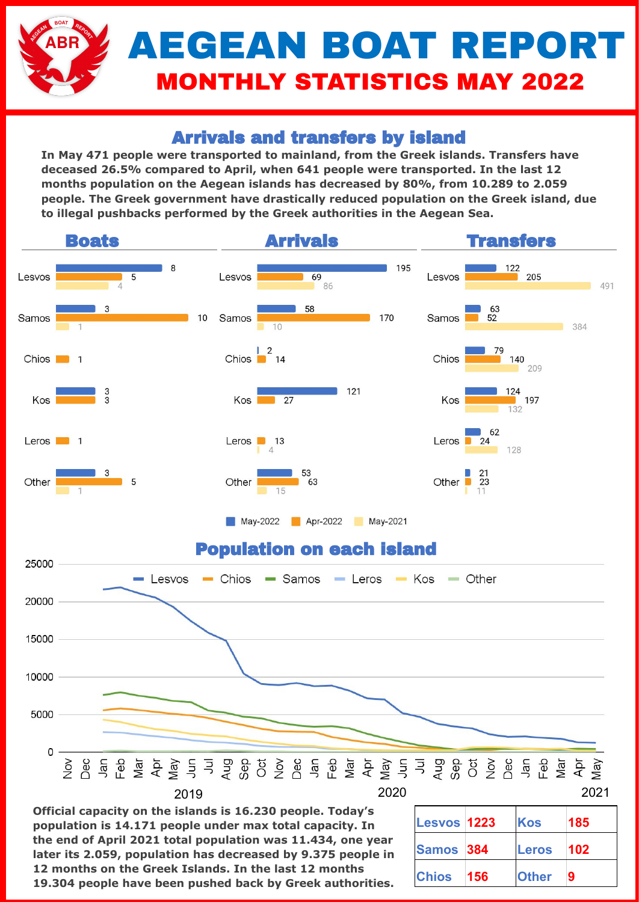# AEGEAN BOAT REPORT MONTHLY STATISTICS MAY 2022

## Arrivals and transfers by island

**In May 471 people were transported to mainland, from the Greek islands. Transfers have deceased 26.5% compared to April, when 641 people were transported. In the last 12 months population on the Aegean islands has decreased by 80%, from 10.289 to 2.059 people. The Greek government have drastically reduced population on the Greek island, due to illegal pushbacks performed by the Greek authorities in the Aegean Sea.** 



**Official capacity on the islands is 16.230 people. Today's population is 14.171 people under max total capacity. In the end of April 2021 total population was 11.434, one year later its 2.059, population has decreased by 9.375 people in 12 months on the Greek Islands. In the last 12 months 19.304 people have been pushed back by Greek authorities.**

| <b>Lesvos 1223</b> |     | Kos          | 185 |
|--------------------|-----|--------------|-----|
| Samos 384          |     | Leros        | 102 |
| <b>Chios</b>       | 156 | <b>Other</b> | 9   |